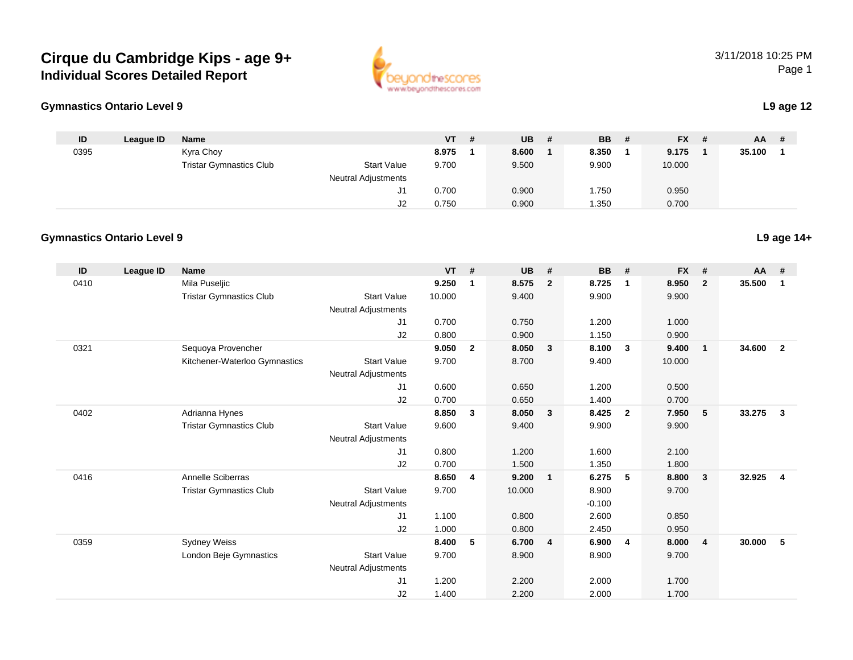## **Cirque du Cambridge Kips - age 9+Individual Scores Detailed Report**



## **Gymnastics Ontario Level 9**

|  | L9 age 12 |
|--|-----------|
|--|-----------|

| ID   | League ID | <b>Name</b>                    |                            | VT.   | - # | <b>UB</b> | - # | <b>BB</b> | # | <b>FX</b> | -# | <b>AA</b> | - # |
|------|-----------|--------------------------------|----------------------------|-------|-----|-----------|-----|-----------|---|-----------|----|-----------|-----|
| 0395 |           | Kyra Choy                      |                            | 8.975 |     | 8.600     |     | 8.350     |   | 9.175     |    | 35.100    |     |
|      |           | <b>Tristar Gymnastics Club</b> | <b>Start Value</b>         | 9.700 |     | 9.500     |     | 9.900     |   | 10.000    |    |           |     |
|      |           |                                | <b>Neutral Adjustments</b> |       |     |           |     |           |   |           |    |           |     |
|      |           |                                | J1                         | 0.700 |     | 0.900     |     | 1.750     |   | 0.950     |    |           |     |
|      |           |                                | ےں                         | 0.750 |     | 0.900     |     | 1.350     |   | 0.700     |    |           |     |

## **Gymnastics Ontario Level 9**

| ID   | League ID | <b>Name</b>                    |                            | <b>VT</b> | #              | <b>UB</b> | #                       | <b>BB</b> | #              | <b>FX</b> | #              | $AA$ # |                         |
|------|-----------|--------------------------------|----------------------------|-----------|----------------|-----------|-------------------------|-----------|----------------|-----------|----------------|--------|-------------------------|
| 0410 |           | Mila Puseljic                  |                            | 9.250     | 1              | 8.575     | $\overline{2}$          | 8.725     | $\mathbf 1$    | 8.950     | $\mathbf{2}$   | 35.500 | $\mathbf 1$             |
|      |           | <b>Tristar Gymnastics Club</b> | <b>Start Value</b>         | 10.000    |                | 9.400     |                         | 9.900     |                | 9.900     |                |        |                         |
|      |           |                                | <b>Neutral Adjustments</b> |           |                |           |                         |           |                |           |                |        |                         |
|      |           |                                | J <sub>1</sub>             | 0.700     |                | 0.750     |                         | 1.200     |                | 1.000     |                |        |                         |
|      |           |                                | J2                         | 0.800     |                | 0.900     |                         | 1.150     |                | 0.900     |                |        |                         |
| 0321 |           | Sequoya Provencher             |                            | 9.050     | $\mathbf{2}$   | 8.050     | $\overline{\mathbf{3}}$ | 8.100     | 3              | 9.400     | $\mathbf{1}$   | 34.600 | $\overline{2}$          |
|      |           | Kitchener-Waterloo Gymnastics  | <b>Start Value</b>         | 9.700     |                | 8.700     |                         | 9.400     |                | 10.000    |                |        |                         |
|      |           |                                | <b>Neutral Adjustments</b> |           |                |           |                         |           |                |           |                |        |                         |
|      |           |                                | J1                         | 0.600     |                | 0.650     |                         | 1.200     |                | 0.500     |                |        |                         |
|      |           |                                | J2                         | 0.700     |                | 0.650     |                         | 1.400     |                | 0.700     |                |        |                         |
| 0402 |           | Adrianna Hynes                 |                            | 8.850     | $\mathbf{3}$   | 8.050     | $\overline{\mathbf{3}}$ | 8.425     | $\overline{2}$ | 7.950     | 5              | 33.275 | $\overline{\mathbf{3}}$ |
|      |           | <b>Tristar Gymnastics Club</b> | <b>Start Value</b>         | 9.600     |                | 9.400     |                         | 9.900     |                | 9.900     |                |        |                         |
|      |           |                                | <b>Neutral Adjustments</b> |           |                |           |                         |           |                |           |                |        |                         |
|      |           |                                | J1                         | 0.800     |                | 1.200     |                         | 1.600     |                | 2.100     |                |        |                         |
|      |           |                                | J2                         | 0.700     |                | 1.500     |                         | 1.350     |                | 1.800     |                |        |                         |
| 0416 |           | Annelle Sciberras              |                            | 8.650     | $\overline{4}$ | 9.200     | $\overline{1}$          | 6.275     | 5              | 8.800     | $\mathbf{3}$   | 32.925 | $\overline{4}$          |
|      |           | <b>Tristar Gymnastics Club</b> | <b>Start Value</b>         | 9.700     |                | 10.000    |                         | 8.900     |                | 9.700     |                |        |                         |
|      |           |                                | <b>Neutral Adjustments</b> |           |                |           |                         | $-0.100$  |                |           |                |        |                         |
|      |           |                                | J1                         | 1.100     |                | 0.800     |                         | 2.600     |                | 0.850     |                |        |                         |
|      |           |                                | J2                         | 1.000     |                | 0.800     |                         | 2.450     |                | 0.950     |                |        |                         |
| 0359 |           | <b>Sydney Weiss</b>            |                            | 8.400     | 5              | 6.700     | $\overline{4}$          | 6.900     | $\overline{4}$ | 8.000     | $\overline{4}$ | 30.000 | 5                       |
|      |           | London Beje Gymnastics         | <b>Start Value</b>         | 9.700     |                | 8.900     |                         | 8.900     |                | 9.700     |                |        |                         |
|      |           |                                | <b>Neutral Adjustments</b> |           |                |           |                         |           |                |           |                |        |                         |
|      |           |                                | J1                         | 1.200     |                | 2.200     |                         | 2.000     |                | 1.700     |                |        |                         |
|      |           |                                | J2                         | 1.400     |                | 2.200     |                         | 2.000     |                | 1.700     |                |        |                         |

**L9 age 14+**